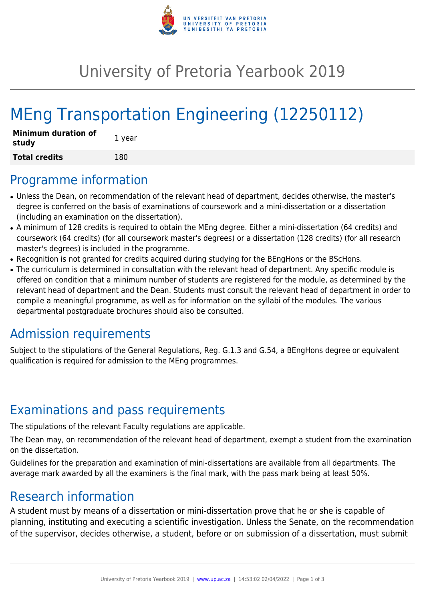

## University of Pretoria Yearbook 2019

# MEng Transportation Engineering (12250112)

| <b>Minimum duration of</b><br>study | 1 year |
|-------------------------------------|--------|
| <b>Total credits</b>                | 180    |

#### Programme information

- Unless the Dean, on recommendation of the relevant head of department, decides otherwise, the master's degree is conferred on the basis of examinations of coursework and a mini-dissertation or a dissertation (including an examination on the dissertation).
- A minimum of 128 credits is required to obtain the MEng degree. Either a mini-dissertation (64 credits) and coursework (64 credits) (for all coursework master's degrees) or a dissertation (128 credits) (for all research master's degrees) is included in the programme.
- Recognition is not granted for credits acquired during studying for the BEngHons or the BScHons.
- The curriculum is determined in consultation with the relevant head of department. Any specific module is offered on condition that a minimum number of students are registered for the module, as determined by the relevant head of department and the Dean. Students must consult the relevant head of department in order to compile a meaningful programme, as well as for information on the syllabi of the modules. The various departmental postgraduate brochures should also be consulted.

### Admission requirements

Subject to the stipulations of the General Regulations, Reg. G.1.3 and G.54, a BEngHons degree or equivalent qualification is required for admission to the MEng programmes.

### Examinations and pass requirements

The stipulations of the relevant Faculty regulations are applicable.

The Dean may, on recommendation of the relevant head of department, exempt a student from the examination on the dissertation.

Guidelines for the preparation and examination of mini-dissertations are available from all departments. The average mark awarded by all the examiners is the final mark, with the pass mark being at least 50%.

### Research information

A student must by means of a dissertation or mini-dissertation prove that he or she is capable of planning, instituting and executing a scientific investigation. Unless the Senate, on the recommendation of the supervisor, decides otherwise, a student, before or on submission of a dissertation, must submit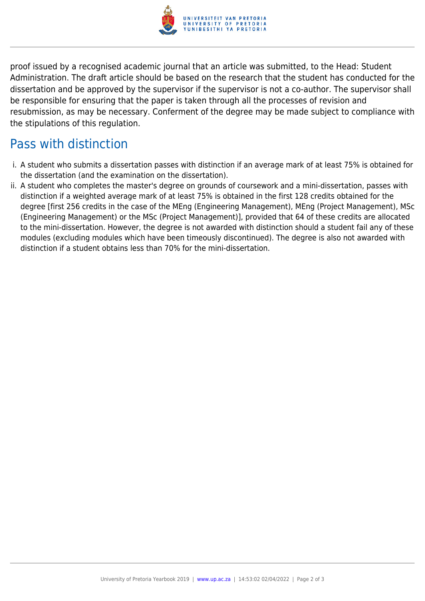

proof issued by a recognised academic journal that an article was submitted, to the Head: Student Administration. The draft article should be based on the research that the student has conducted for the dissertation and be approved by the supervisor if the supervisor is not a co-author. The supervisor shall be responsible for ensuring that the paper is taken through all the processes of revision and resubmission, as may be necessary. Conferment of the degree may be made subject to compliance with the stipulations of this regulation.

## Pass with distinction

- i. A student who submits a dissertation passes with distinction if an average mark of at least 75% is obtained for the dissertation (and the examination on the dissertation).
- ii. A student who completes the master's degree on grounds of coursework and a mini-dissertation, passes with distinction if a weighted average mark of at least 75% is obtained in the first 128 credits obtained for the degree [first 256 credits in the case of the MEng (Engineering Management), MEng (Project Management), MSc (Engineering Management) or the MSc (Project Management)], provided that 64 of these credits are allocated to the mini-dissertation. However, the degree is not awarded with distinction should a student fail any of these modules (excluding modules which have been timeously discontinued). The degree is also not awarded with distinction if a student obtains less than 70% for the mini-dissertation.